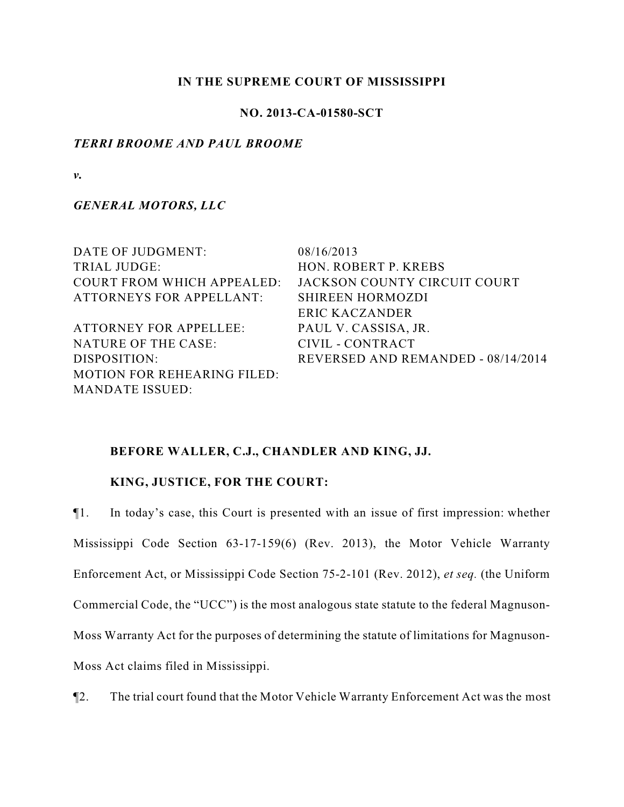# **IN THE SUPREME COURT OF MISSISSIPPI**

# **NO. 2013-CA-01580-SCT**

# *TERRI BROOME AND PAUL BROOME*

*v.*

*GENERAL MOTORS, LLC*

| DATE OF JUDGMENT:                  | 08/16/2013                         |
|------------------------------------|------------------------------------|
| TRIAL JUDGE:                       | HON. ROBERT P. KREBS               |
| <b>COURT FROM WHICH APPEALED:</b>  | JACKSON COUNTY CIRCUIT COURT       |
| <b>ATTORNEYS FOR APPELLANT:</b>    | <b>SHIREEN HORMOZDI</b>            |
|                                    | ERIC KACZANDER                     |
| <b>ATTORNEY FOR APPELLEE:</b>      | PAUL V. CASSISA, JR.               |
| NATURE OF THE CASE:                | CIVIL - CONTRACT                   |
| DISPOSITION:                       | REVERSED AND REMANDED - 08/14/2014 |
| <b>MOTION FOR REHEARING FILED:</b> |                                    |
| <b>MANDATE ISSUED:</b>             |                                    |

# **BEFORE WALLER, C.J., CHANDLER AND KING, JJ.**

# **KING, JUSTICE, FOR THE COURT:**

¶1. In today's case, this Court is presented with an issue of first impression: whether Mississippi Code Section 63-17-159(6) (Rev. 2013), the Motor Vehicle Warranty Enforcement Act, or Mississippi Code Section 75-2-101 (Rev. 2012), *et seq.* (the Uniform Commercial Code, the "UCC") is the most analogous state statute to the federal Magnuson-Moss Warranty Act for the purposes of determining the statute of limitations for Magnuson-Moss Act claims filed in Mississippi.

¶2. The trial court found that the Motor Vehicle Warranty Enforcement Act was the most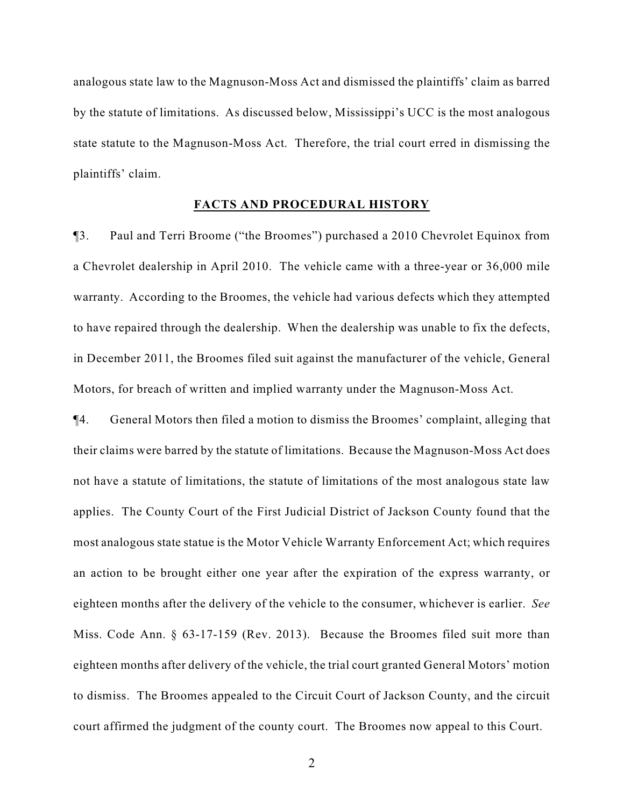analogous state law to the Magnuson-Moss Act and dismissed the plaintiffs' claim as barred by the statute of limitations. As discussed below, Mississippi's UCC is the most analogous state statute to the Magnuson-Moss Act. Therefore, the trial court erred in dismissing the plaintiffs' claim.

#### **FACTS AND PROCEDURAL HISTORY**

¶3. Paul and Terri Broome ("the Broomes") purchased a 2010 Chevrolet Equinox from a Chevrolet dealership in April 2010. The vehicle came with a three-year or 36,000 mile warranty. According to the Broomes, the vehicle had various defects which they attempted to have repaired through the dealership. When the dealership was unable to fix the defects, in December 2011, the Broomes filed suit against the manufacturer of the vehicle, General Motors, for breach of written and implied warranty under the Magnuson-Moss Act.

¶4. General Motors then filed a motion to dismiss the Broomes' complaint, alleging that their claims were barred by the statute of limitations. Because the Magnuson-Moss Act does not have a statute of limitations, the statute of limitations of the most analogous state law applies. The County Court of the First Judicial District of Jackson County found that the most analogous state statue is the Motor Vehicle Warranty Enforcement Act; which requires an action to be brought either one year after the expiration of the express warranty, or eighteen months after the delivery of the vehicle to the consumer, whichever is earlier. *See* Miss. Code Ann. § 63-17-159 (Rev. 2013). Because the Broomes filed suit more than eighteen months after delivery of the vehicle, the trial court granted General Motors' motion to dismiss. The Broomes appealed to the Circuit Court of Jackson County, and the circuit court affirmed the judgment of the county court. The Broomes now appeal to this Court.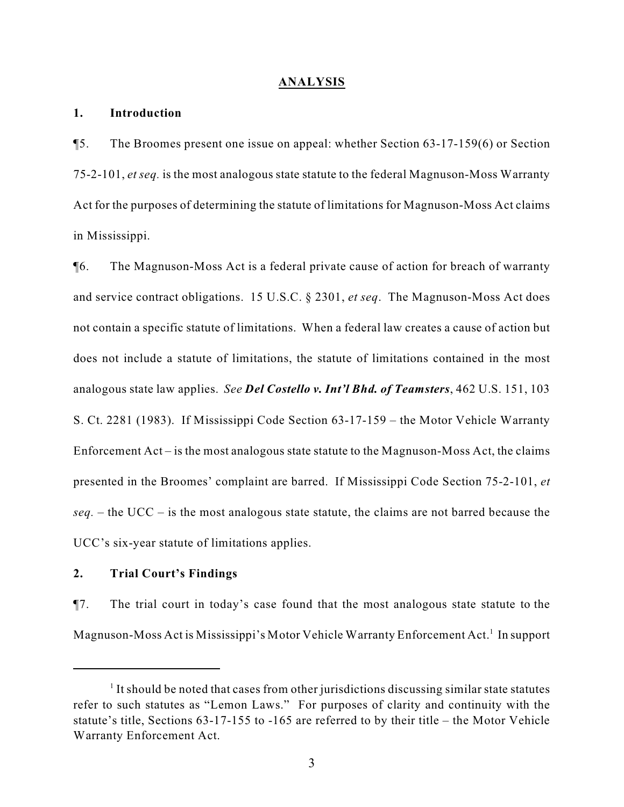#### **ANALYSIS**

### **1. Introduction**

¶5. The Broomes present one issue on appeal: whether Section 63-17-159(6) or Section 75-2-101, *et seq.* is the most analogous state statute to the federal Magnuson-Moss Warranty Act for the purposes of determining the statute of limitations for Magnuson-Moss Act claims in Mississippi.

¶6. The Magnuson-Moss Act is a federal private cause of action for breach of warranty and service contract obligations. 15 U.S.C. § 2301, *et seq*. The Magnuson-Moss Act does not contain a specific statute of limitations. When a federal law creates a cause of action but does not include a statute of limitations, the statute of limitations contained in the most analogous state law applies. *See Del Costello v. Int'l Bhd. of Teamsters*, 462 U.S. 151, 103 S. Ct. 2281 (1983). If Mississippi Code Section 63-17-159 – the Motor Vehicle Warranty Enforcement Act – is the most analogous state statute to the Magnuson-Moss Act, the claims presented in the Broomes' complaint are barred. If Mississippi Code Section 75-2-101, *et seq.* – the UCC – is the most analogous state statute, the claims are not barred because the UCC's six-year statute of limitations applies.

## **2. Trial Court's Findings**

¶7. The trial court in today's case found that the most analogous state statute to the Magnuson-Moss Act is Mississippi's Motor Vehicle Warranty Enforcement Act.<sup>1</sup> In support

 $1$  It should be noted that cases from other jurisdictions discussing similar state statutes refer to such statutes as "Lemon Laws." For purposes of clarity and continuity with the statute's title, Sections 63-17-155 to -165 are referred to by their title – the Motor Vehicle Warranty Enforcement Act.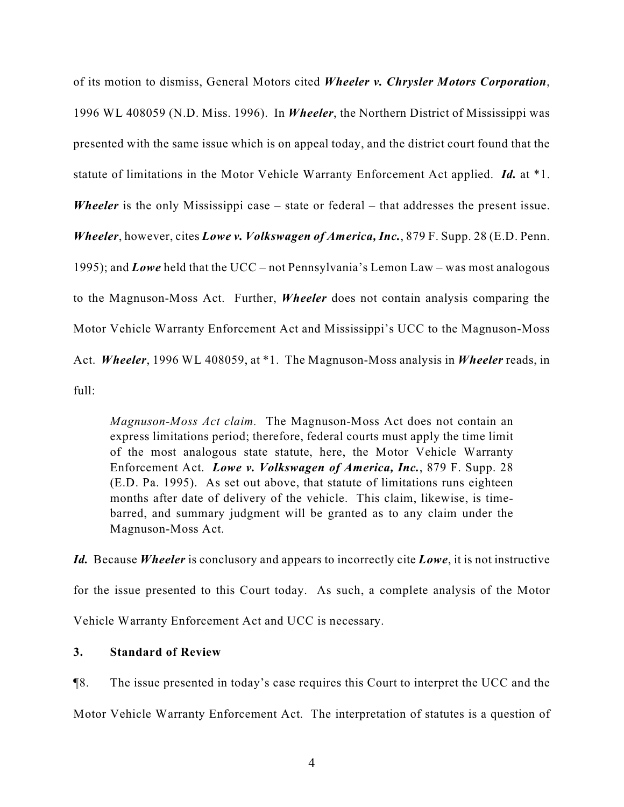of its motion to dismiss, General Motors cited *Wheeler v. Chrysler Motors Corporation*, 1996 WL 408059 (N.D. Miss. 1996). In *Wheeler*, the Northern District of Mississippi was presented with the same issue which is on appeal today, and the district court found that the statute of limitations in the Motor Vehicle Warranty Enforcement Act applied. *Id.* at \*1. *Wheeler* is the only Mississippi case – state or federal – that addresses the present issue. *Wheeler*, however, cites *Lowe v. Volkswagen of America, Inc.*, 879 F. Supp. 28 (E.D. Penn. 1995); and *Lowe* held that the UCC – not Pennsylvania's Lemon Law – was most analogous to the Magnuson-Moss Act. Further, *Wheeler* does not contain analysis comparing the Motor Vehicle Warranty Enforcement Act and Mississippi's UCC to the Magnuson-Moss Act. *Wheeler*, 1996 WL 408059, at \*1. The Magnuson-Moss analysis in *Wheeler* reads, in  $f_{11}$ ll·

*Magnuson-Moss Act claim.* The Magnuson-Moss Act does not contain an express limitations period; therefore, federal courts must apply the time limit of the most analogous state statute, here, the Motor Vehicle Warranty Enforcement Act. *Lowe v. Volkswagen of America, Inc.*, 879 F. Supp. 28 (E.D. Pa. 1995). As set out above, that statute of limitations runs eighteen months after date of delivery of the vehicle. This claim, likewise, is timebarred, and summary judgment will be granted as to any claim under the Magnuson-Moss Act.

*Id.* Because *Wheeler* is conclusory and appears to incorrectly cite *Lowe*, it is not instructive for the issue presented to this Court today. As such, a complete analysis of the Motor Vehicle Warranty Enforcement Act and UCC is necessary.

# **3. Standard of Review**

¶8. The issue presented in today's case requires this Court to interpret the UCC and the Motor Vehicle Warranty Enforcement Act. The interpretation of statutes is a question of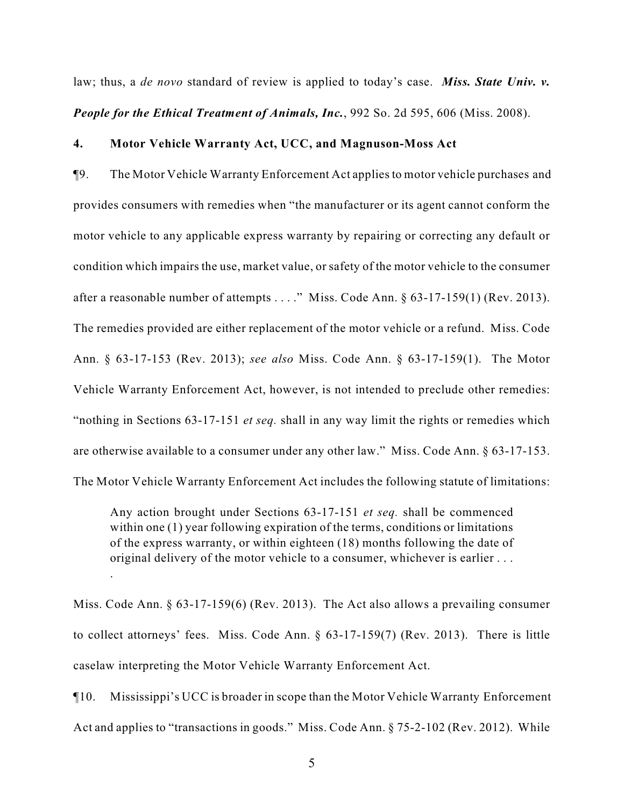law; thus, a *de novo* standard of review is applied to today's case. *Miss. State Univ. v. People for the Ethical Treatment of Animals, Inc.*, 992 So. 2d 595, 606 (Miss. 2008).

#### **4. Motor Vehicle Warranty Act, UCC, and Magnuson-Moss Act**

¶9. The Motor Vehicle Warranty Enforcement Act applies to motor vehicle purchases and provides consumers with remedies when "the manufacturer or its agent cannot conform the motor vehicle to any applicable express warranty by repairing or correcting any default or condition which impairs the use, market value, or safety of the motor vehicle to the consumer after a reasonable number of attempts . . . ." Miss. Code Ann. § 63-17-159(1) (Rev. 2013). The remedies provided are either replacement of the motor vehicle or a refund. Miss. Code Ann. § 63-17-153 (Rev. 2013); *see also* Miss. Code Ann. § 63-17-159(1). The Motor Vehicle Warranty Enforcement Act, however, is not intended to preclude other remedies: "nothing in Sections 63-17-151 *et seq.* shall in any way limit the rights or remedies which are otherwise available to a consumer under any other law." Miss. Code Ann. § 63-17-153. The Motor Vehicle Warranty Enforcement Act includes the following statute of limitations:

Any action brought under Sections 63-17-151 *et seq.* shall be commenced within one (1) year following expiration of the terms, conditions or limitations of the express warranty, or within eighteen (18) months following the date of original delivery of the motor vehicle to a consumer, whichever is earlier . . .

.

Miss. Code Ann. § 63-17-159(6) (Rev. 2013). The Act also allows a prevailing consumer to collect attorneys' fees. Miss. Code Ann. § 63-17-159(7) (Rev. 2013). There is little caselaw interpreting the Motor Vehicle Warranty Enforcement Act.

¶10. Mississippi's UCC is broader in scope than the Motor Vehicle Warranty Enforcement Act and applies to "transactions in goods." Miss. Code Ann. § 75-2-102 (Rev. 2012). While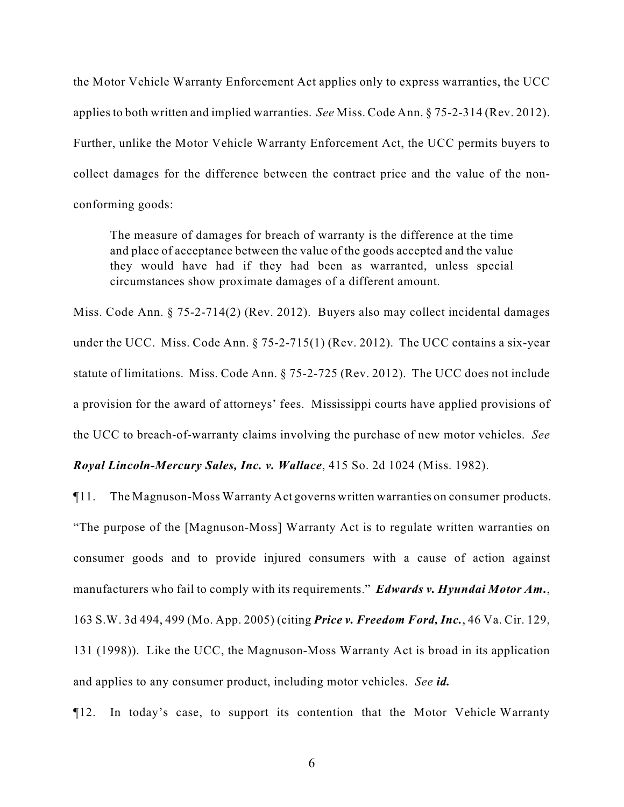the Motor Vehicle Warranty Enforcement Act applies only to express warranties, the UCC applies to both written and implied warranties. *See* Miss. Code Ann. § 75-2-314 (Rev. 2012). Further, unlike the Motor Vehicle Warranty Enforcement Act, the UCC permits buyers to collect damages for the difference between the contract price and the value of the nonconforming goods:

The measure of damages for breach of warranty is the difference at the time and place of acceptance between the value of the goods accepted and the value they would have had if they had been as warranted, unless special circumstances show proximate damages of a different amount.

Miss. Code Ann. § 75-2-714(2) (Rev. 2012). Buyers also may collect incidental damages under the UCC. Miss. Code Ann. § 75-2-715(1) (Rev. 2012). The UCC contains a six-year statute of limitations. Miss. Code Ann. § 75-2-725 (Rev. 2012). The UCC does not include a provision for the award of attorneys' fees. Mississippi courts have applied provisions of the UCC to breach-of-warranty claims involving the purchase of new motor vehicles. *See*

*Royal Lincoln-Mercury Sales, Inc. v. Wallace*, 415 So. 2d 1024 (Miss. 1982).

¶11. The Magnuson-Moss Warranty Act governs written warranties on consumer products. "The purpose of the [Magnuson-Moss] Warranty Act is to regulate written warranties on consumer goods and to provide injured consumers with a cause of action against manufacturers who fail to comply with its requirements." *Edwards v. Hyundai Motor Am.*, 163 S.W. 3d 494, 499 (Mo. App. 2005) (citing *Price v. Freedom Ford, Inc.*, 46 Va. Cir. 129, 131 (1998)). Like the UCC, the Magnuson-Moss Warranty Act is broad in its application and applies to any consumer product, including motor vehicles. *See id.* 

¶12. In today's case, to support its contention that the Motor Vehicle Warranty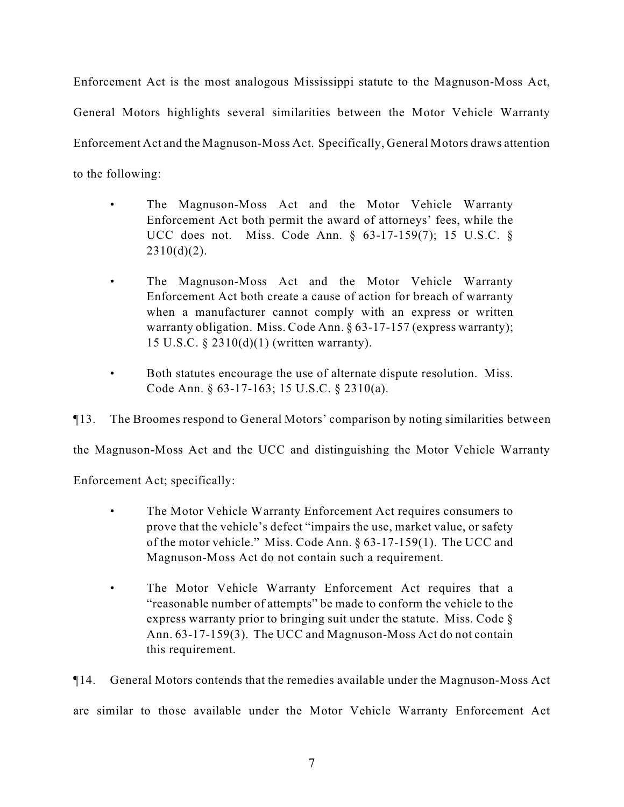Enforcement Act is the most analogous Mississippi statute to the Magnuson-Moss Act, General Motors highlights several similarities between the Motor Vehicle Warranty Enforcement Act and the Magnuson-Moss Act. Specifically, General Motors draws attention to the following:

- The Magnuson-Moss Act and the Motor Vehicle Warranty Enforcement Act both permit the award of attorneys' fees, while the UCC does not. Miss. Code Ann. § 63-17-159(7); 15 U.S.C. §  $2310(d)(2)$ .
- The Magnuson-Moss Act and the Motor Vehicle Warranty Enforcement Act both create a cause of action for breach of warranty when a manufacturer cannot comply with an express or written warranty obligation. Miss. Code Ann. § 63-17-157 (express warranty); 15 U.S.C. § 2310(d)(1) (written warranty).
- Both statutes encourage the use of alternate dispute resolution. Miss. Code Ann. § 63-17-163; 15 U.S.C. § 2310(a).

¶13. The Broomes respond to General Motors' comparison by noting similarities between

the Magnuson-Moss Act and the UCC and distinguishing the Motor Vehicle Warranty

Enforcement Act; specifically:

- The Motor Vehicle Warranty Enforcement Act requires consumers to prove that the vehicle's defect "impairs the use, market value, or safety of the motor vehicle." Miss. Code Ann. § 63-17-159(1). The UCC and Magnuson-Moss Act do not contain such a requirement.
- The Motor Vehicle Warranty Enforcement Act requires that a "reasonable number of attempts" be made to conform the vehicle to the express warranty prior to bringing suit under the statute. Miss. Code § Ann. 63-17-159(3). The UCC and Magnuson-Moss Act do not contain this requirement.

¶14. General Motors contends that the remedies available under the Magnuson-Moss Act are similar to those available under the Motor Vehicle Warranty Enforcement Act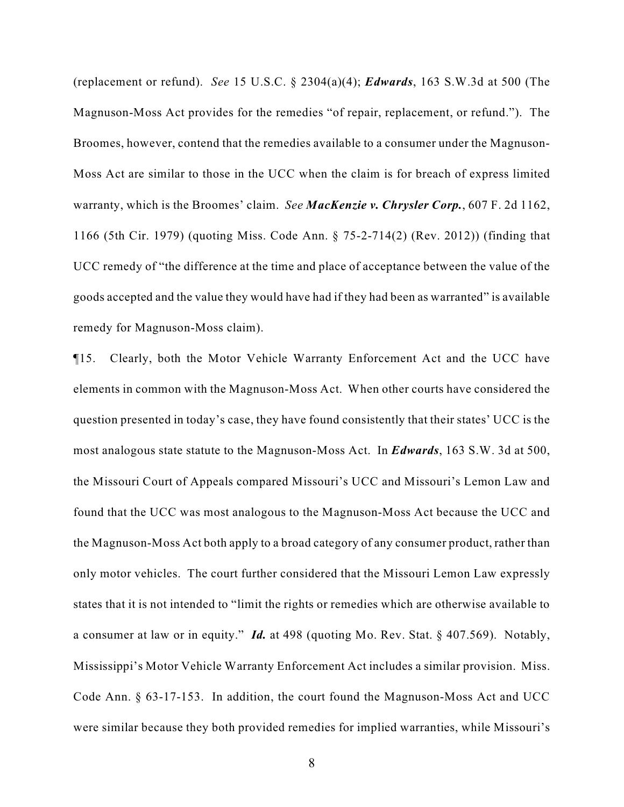(replacement or refund). *See* 15 U.S.C. § 2304(a)(4); *Edwards*, 163 S.W.3d at 500 (The Magnuson-Moss Act provides for the remedies "of repair, replacement, or refund."). The Broomes, however, contend that the remedies available to a consumer under the Magnuson-Moss Act are similar to those in the UCC when the claim is for breach of express limited warranty, which is the Broomes' claim. *See MacKenzie v. Chrysler Corp.*, 607 F. 2d 1162, 1166 (5th Cir. 1979) (quoting Miss. Code Ann. § 75-2-714(2) (Rev. 2012)) (finding that UCC remedy of "the difference at the time and place of acceptance between the value of the goods accepted and the value they would have had if they had been as warranted" is available remedy for Magnuson-Moss claim).

¶15. Clearly, both the Motor Vehicle Warranty Enforcement Act and the UCC have elements in common with the Magnuson-Moss Act. When other courts have considered the question presented in today's case, they have found consistently that their states' UCC is the most analogous state statute to the Magnuson-Moss Act. In *Edwards*, 163 S.W. 3d at 500, the Missouri Court of Appeals compared Missouri's UCC and Missouri's Lemon Law and found that the UCC was most analogous to the Magnuson-Moss Act because the UCC and the Magnuson-Moss Act both apply to a broad category of any consumer product, rather than only motor vehicles. The court further considered that the Missouri Lemon Law expressly states that it is not intended to "limit the rights or remedies which are otherwise available to a consumer at law or in equity." *Id.* at 498 (quoting Mo. Rev. Stat. § 407.569). Notably, Mississippi's Motor Vehicle Warranty Enforcement Act includes a similar provision. Miss. Code Ann. § 63-17-153. In addition, the court found the Magnuson-Moss Act and UCC were similar because they both provided remedies for implied warranties, while Missouri's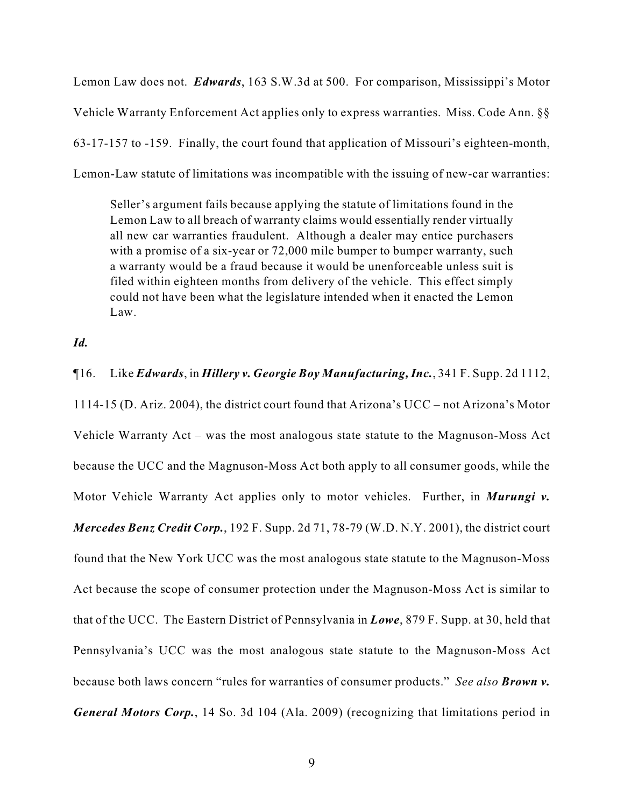Lemon Law does not. *Edwards*, 163 S.W.3d at 500. For comparison, Mississippi's Motor Vehicle Warranty Enforcement Act applies only to express warranties. Miss. Code Ann. §§ 63-17-157 to -159. Finally, the court found that application of Missouri's eighteen-month, Lemon-Law statute of limitations was incompatible with the issuing of new-car warranties:

Seller's argument fails because applying the statute of limitations found in the Lemon Law to all breach of warranty claims would essentially render virtually all new car warranties fraudulent. Although a dealer may entice purchasers with a promise of a six-year or 72,000 mile bumper to bumper warranty, such a warranty would be a fraud because it would be unenforceable unless suit is filed within eighteen months from delivery of the vehicle. This effect simply could not have been what the legislature intended when it enacted the Lemon Law.

## *Id.*

### ¶16. Like *Edwards*, in *Hillery v. Georgie Boy Manufacturing, Inc.*, 341 F. Supp. 2d 1112,

1114-15 (D. Ariz. 2004), the district court found that Arizona's UCC – not Arizona's Motor Vehicle Warranty Act – was the most analogous state statute to the Magnuson-Moss Act because the UCC and the Magnuson-Moss Act both apply to all consumer goods, while the Motor Vehicle Warranty Act applies only to motor vehicles. Further, in *Murungi v. Mercedes Benz Credit Corp.*, 192 F. Supp. 2d 71, 78-79 (W.D. N.Y. 2001), the district court found that the New York UCC was the most analogous state statute to the Magnuson-Moss Act because the scope of consumer protection under the Magnuson-Moss Act is similar to that of the UCC. The Eastern District of Pennsylvania in *Lowe*, 879 F. Supp. at 30, held that Pennsylvania's UCC was the most analogous state statute to the Magnuson-Moss Act because both laws concern "rules for warranties of consumer products." *See also Brown v. General Motors Corp.*, 14 So. 3d 104 (Ala. 2009) (recognizing that limitations period in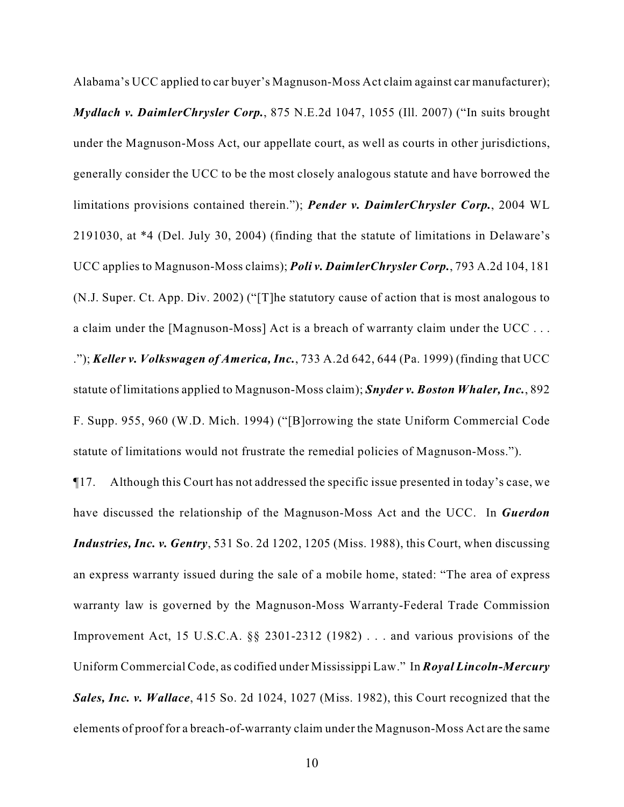Alabama's UCC applied to car buyer's Magnuson-Moss Act claim against car manufacturer); *Mydlach v. DaimlerChrysler Corp.*, 875 N.E.2d 1047, 1055 (Ill. 2007) ("In suits brought under the Magnuson-Moss Act, our appellate court, as well as courts in other jurisdictions, generally consider the UCC to be the most closely analogous statute and have borrowed the limitations provisions contained therein."); *Pender v. DaimlerChrysler Corp.*, 2004 WL 2191030, at \*4 (Del. July 30, 2004) (finding that the statute of limitations in Delaware's UCC applies to Magnuson-Moss claims); *Poli v. DaimlerChrysler Corp.*, 793 A.2d 104, 181 (N.J. Super. Ct. App. Div. 2002) ("[T]he statutory cause of action that is most analogous to a claim under the [Magnuson-Moss] Act is a breach of warranty claim under the UCC . . . ."); *Keller v. Volkswagen of America, Inc.*, 733 A.2d 642, 644 (Pa. 1999) (finding that UCC statute of limitations applied to Magnuson-Moss claim); *Snyder v. Boston Whaler, Inc.*, 892 F. Supp. 955, 960 (W.D. Mich. 1994) ("[B]orrowing the state Uniform Commercial Code statute of limitations would not frustrate the remedial policies of Magnuson-Moss.").

¶17. Although this Court has not addressed the specific issue presented in today's case, we have discussed the relationship of the Magnuson-Moss Act and the UCC. In *Guerdon Industries, Inc. v. Gentry*, 531 So. 2d 1202, 1205 (Miss. 1988), this Court, when discussing an express warranty issued during the sale of a mobile home, stated: "The area of express warranty law is governed by the Magnuson-Moss Warranty-Federal Trade Commission Improvement Act, 15 U.S.C.A. §§ 2301-2312 (1982) . . . and various provisions of the Uniform Commercial Code, as codified under Mississippi Law." In *Royal Lincoln-Mercury Sales, Inc. v. Wallace*, 415 So. 2d 1024, 1027 (Miss. 1982), this Court recognized that the elements of proof for a breach-of-warranty claim under the Magnuson-Moss Act are the same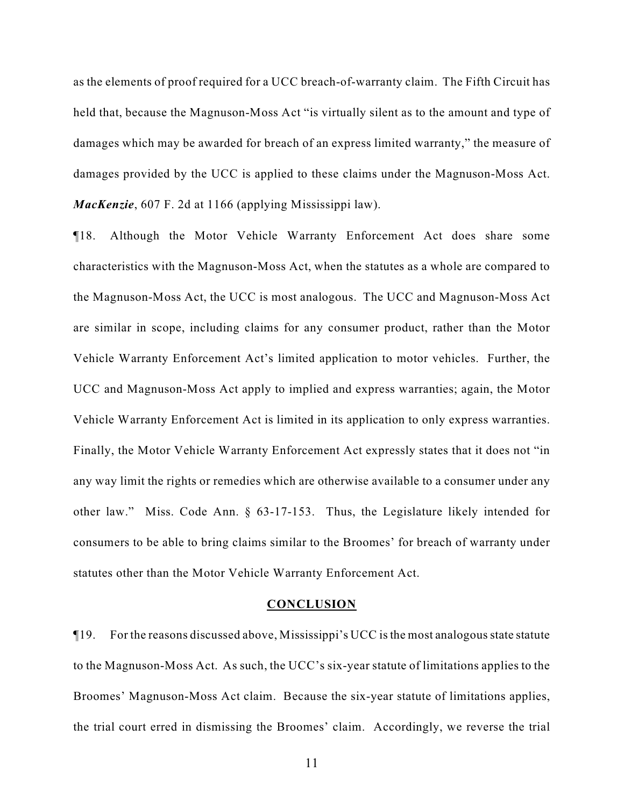as the elements of proof required for a UCC breach-of-warranty claim. The Fifth Circuit has held that, because the Magnuson-Moss Act "is virtually silent as to the amount and type of damages which may be awarded for breach of an express limited warranty," the measure of damages provided by the UCC is applied to these claims under the Magnuson-Moss Act. *MacKenzie*, 607 F. 2d at 1166 (applying Mississippi law).

¶18. Although the Motor Vehicle Warranty Enforcement Act does share some characteristics with the Magnuson-Moss Act, when the statutes as a whole are compared to the Magnuson-Moss Act, the UCC is most analogous. The UCC and Magnuson-Moss Act are similar in scope, including claims for any consumer product, rather than the Motor Vehicle Warranty Enforcement Act's limited application to motor vehicles. Further, the UCC and Magnuson-Moss Act apply to implied and express warranties; again, the Motor Vehicle Warranty Enforcement Act is limited in its application to only express warranties. Finally, the Motor Vehicle Warranty Enforcement Act expressly states that it does not "in any way limit the rights or remedies which are otherwise available to a consumer under any other law." Miss. Code Ann. § 63-17-153. Thus, the Legislature likely intended for consumers to be able to bring claims similar to the Broomes' for breach of warranty under statutes other than the Motor Vehicle Warranty Enforcement Act.

### **CONCLUSION**

¶19. For the reasons discussed above, Mississippi's UCC is the most analogous state statute to the Magnuson-Moss Act. As such, the UCC's six-year statute of limitations applies to the Broomes' Magnuson-Moss Act claim. Because the six-year statute of limitations applies, the trial court erred in dismissing the Broomes' claim. Accordingly, we reverse the trial